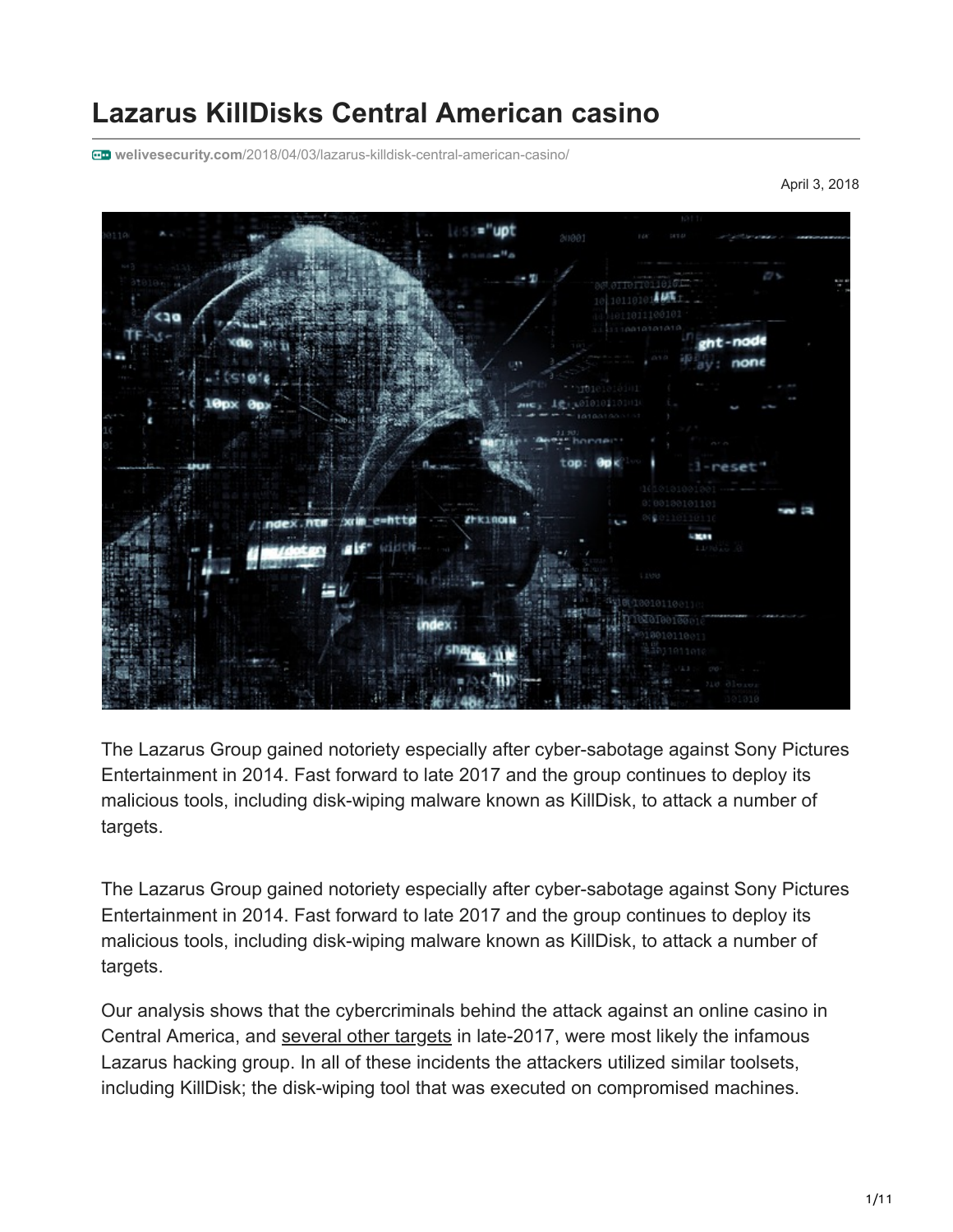# **Lazarus KillDisks Central American casino**

**welivesecurity.com**[/2018/04/03/lazarus-killdisk-central-american-casino/](https://www.welivesecurity.com/2018/04/03/lazarus-killdisk-central-american-casino/)

April 3, 2018



The Lazarus Group gained notoriety especially after cyber-sabotage against Sony Pictures Entertainment in 2014. Fast forward to late 2017 and the group continues to deploy its malicious tools, including disk-wiping malware known as KillDisk, to attack a number of targets.

The Lazarus Group gained notoriety especially after cyber-sabotage against Sony Pictures Entertainment in 2014. Fast forward to late 2017 and the group continues to deploy its malicious tools, including disk-wiping malware known as KillDisk, to attack a number of targets.

Our analysis shows that the cybercriminals behind the attack against an online casino in Central America, and [several other targets](https://blog.trendmicro.com/trendlabs-security-intelligence/new-killdisk-variant-hits-financial-organizations-in-latin-america/) in late-2017, were most likely the infamous Lazarus hacking group. In all of these incidents the attackers utilized similar toolsets, including KillDisk; the disk-wiping tool that was executed on compromised machines.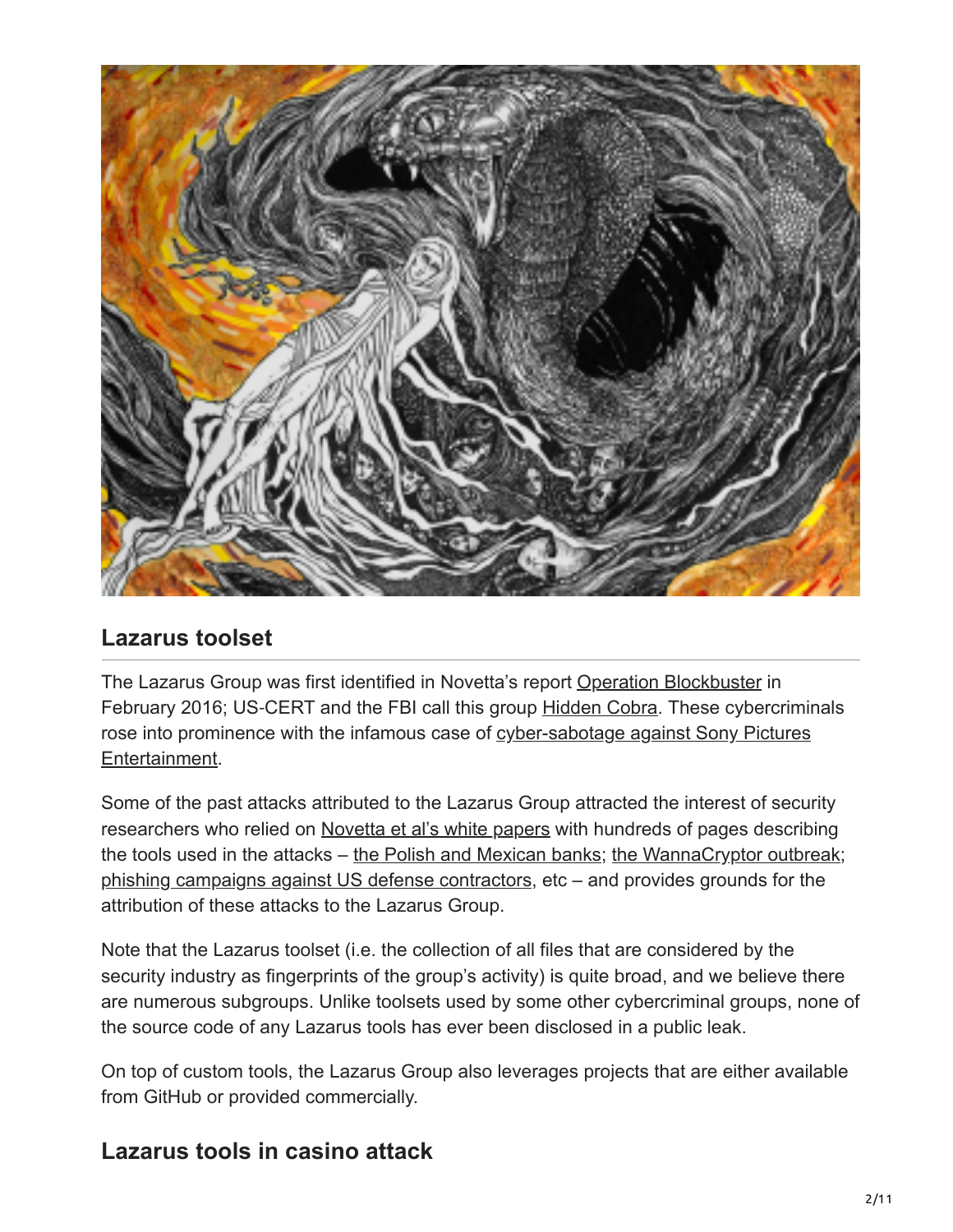

### **Lazarus toolset**

The Lazarus Group was first identified in Novetta's report [Operation Blockbuster](https://www.operationblockbuster.com/wp-content/uploads/2016/02/Operation-Blockbuster-Report.pdf) in February 2016; US-CERT and the FBI call this group [Hidden Cobra.](https://www.us-cert.gov/HIDDEN-COBRA-North-Korean-Malicious-Cyber-Activity) These cybercriminals [rose into prominence with the infamous case of cyber-sabotage against Sony Pictures](https://www.welivesecurity.com/2014/12/08/sony-pictures-hacking-traced-thai-hotel-north-korea-denies-involvement/) Entertainment.

Some of the past attacks attributed to the Lazarus Group attracted the interest of security researchers who relied on [Novetta et al's white papers](https://www.operationblockbuster.com/resources/) with hundreds of pages describing the tools used in the attacks – [the Polish and Mexican banks](https://www.welivesecurity.com/2017/02/16/demystifying-targeted-malware-used-polish-banks/); [the WannaCryptor outbreak](https://www.malwaretech.com/2017/05/how-to-accidentally-stop-a-global-cyber-attacks.html); [phishing campaigns against US defense contractors,](https://researchcenter.paloaltonetworks.com/2017/08/unit42-blockbuster-saga-continues/) etc – and provides grounds for the attribution of these attacks to the Lazarus Group.

Note that the Lazarus toolset (i.e. the collection of all files that are considered by the security industry as fingerprints of the group's activity) is quite broad, and we believe there are numerous subgroups. Unlike toolsets used by some other cybercriminal groups, none of the source code of any Lazarus tools has ever been disclosed in a public leak.

On top of custom tools, the Lazarus Group also leverages projects that are either available from GitHub or provided commercially.

## **Lazarus tools in casino attack**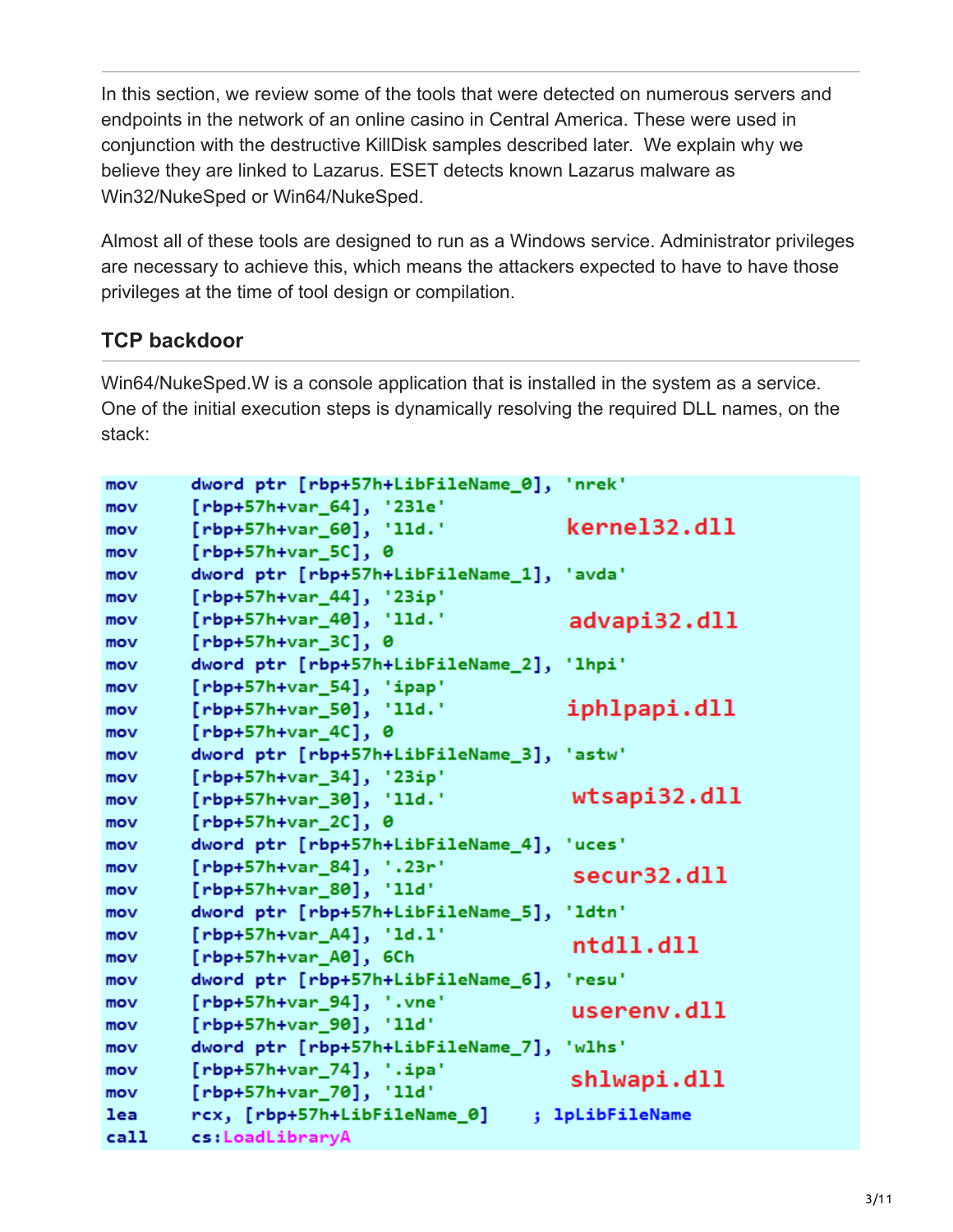In this section, we review some of the tools that were detected on numerous servers and endpoints in the network of an online casino in Central America. These were used in conjunction with the destructive KillDisk samples described later. We explain why we believe they are linked to Lazarus. ESET detects known Lazarus malware as Win32/NukeSped or Win64/NukeSped.

Almost all of these tools are designed to run as a Windows service. Administrator privileges are necessary to achieve this, which means the attackers expected to have to have those privileges at the time of tool design or compilation.

### **TCP backdoor**

Win64/NukeSped.W is a console application that is installed in the system as a service. One of the initial execution steps is dynamically resolving the required DLL names, on the stack:

```
dword ptr [rbp+57h+LibFileName_0], 'nrek'
mov
        [rbp+57h+var_64], '231e'mov
                                           kernel32.dll
        [rbp+57h+var_60], 'lld.'
mov
        [rbp+57h+var_5C], \thetamov
        dword ptr [rbp+57h+LibFileName_1], 'avda'
mov
        [rbp+57h+var_44], '23ip'mov
        [rbp+57h+var_40], '11d.'advapi32.dll
mov
        [rbp+57h+var_3C], \thetamov
mov
        dword ptr [rbp+57h+LibFileName_2], 'lhpi'
        [rbp+57h+var_54], 'ipap'mov
                                            iphlpapi.dll
        [rbp+57h+var_50], '11d.'
mov
        [rbp+57h+var_4C], 0m<sub>O</sub>dword ptr [rbp+57h+LibFileName_3], 'astw'
mov
mov
        [rbp+57h+var_34], '23ip'wtsapi32.dll
        [rbp+57h+var_30], '11d.'
mov
        [rbp+57h+var_2c], 0
mov
        dword ptr [rbp+57h+LibFileName_4], 'uces'
mov
        [rbp+57h+var_84], '23r'mov
                                            secur32.dll
        [rbp+57h+var_80], '11d'mov
        dword ptr [rbp+57h+LibFileName_5], 'ldtn'
mov
        [rbp+57h+var_A4], 'Id.1'mov
                                            ntd11.d11[rbp+57h+var_A0], 6Ch
mov
        dword ptr [rbp+57h+LibFileName_6], 'resu'
mov
        [rbp+57h+var_94], '. vne'mov
                                            userenv.dll
        [rbp+57h+var_90], '11d'mov
        dword ptr [rbp+57h+LibFileName_7], 'wlhs'
mov
        [rbp+57h+var_74], ' .ipa'mov
                                            shlwapi.dll
        [rbp+57h+var_70], '11d'mov
lea
        rcx, [rbp+57h+LibFileName_0] ; lpLibFileName
ca11cs:LoadLibraryA
```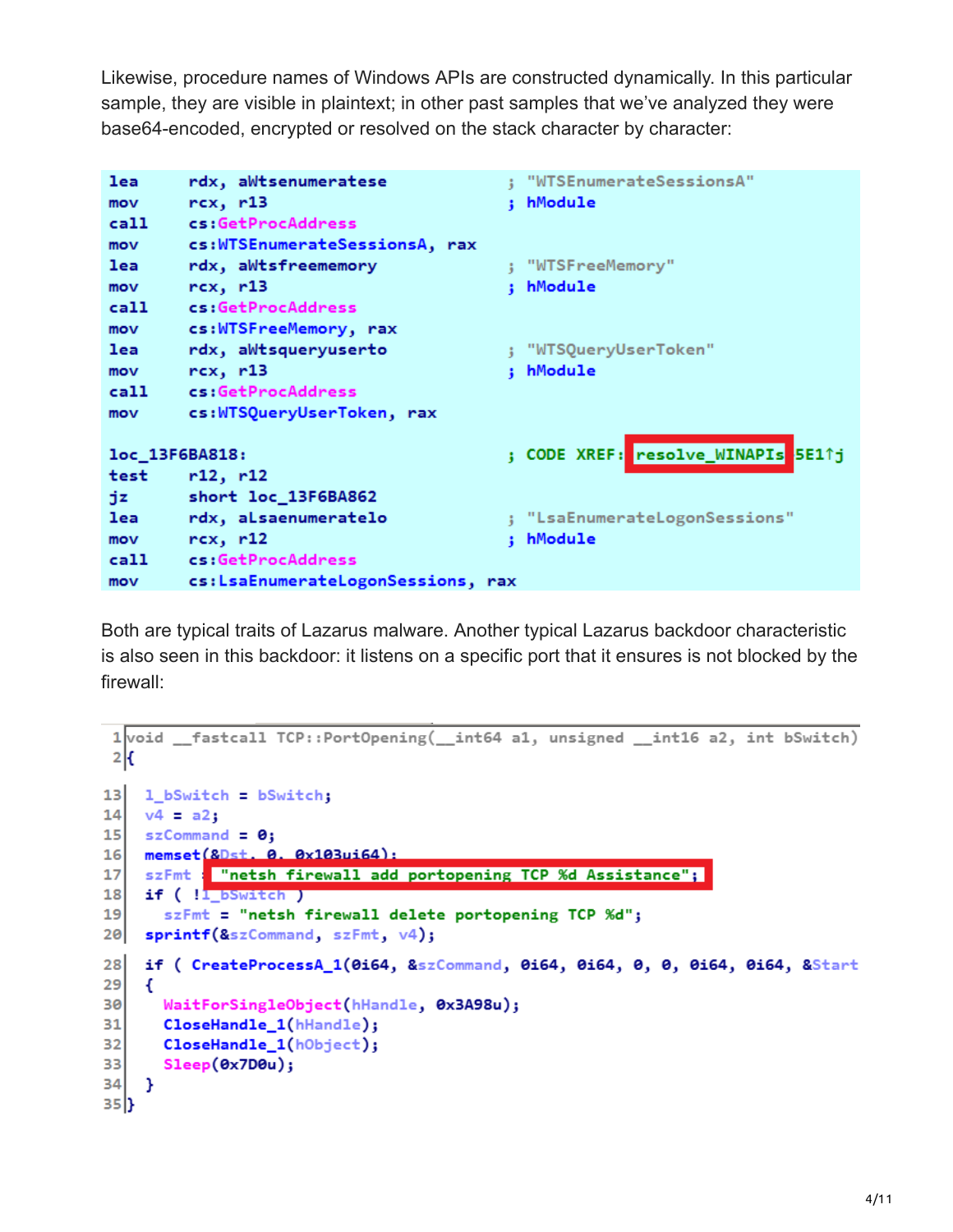Likewise, procedure names of Windows APIs are constructed dynamically. In this particular sample, they are visible in plaintext; in other past samples that we've analyzed they were base64-encoded, encrypted or resolved on the stack character by character:

```
; "WTSEnumerateSessionsA"
lea
        rdx, aWtsenumeratese
mov
        rex, r13; hModule
        cs:GetProcAddress
call
        cs:WTSEnumerateSessionsA, rax
mov
                                         ; "WTSFreeMemory"
        rdx, aWtsfreememory
lea
        rex, r13mov
                                         : hModule
        cs:GetProcAddress
ca11cs:WTSFreeMemory, rax
mov
lea
        rdx, aWtsqueryuserto
                                         ; "WTSQueryUserToken"
       rcx, r13; hModule
mov
cal1cs:GetProcAddress
        cs:WTSQueryUserToken, rax
mov
                                                      resolve WINAPIs
                                         ; CODE XREF:
loc_13F6BA818:
                                                                      SE11j
        r12, r12test
tiz.
        short loc_13F6BA862
lea
        rdx, aLsaenumeratelo
                                         ; "LsaEnumerateLogonSessions"
        rcx, r12; hModule
mov
ca11cs:GetProcAddress
        cs:LsaEnumerateLogonSessions, rax
mov
```
Both are typical traits of Lazarus malware. Another typical Lazarus backdoor characteristic is also seen in this backdoor: it listens on a specific port that it ensures is not blocked by the firewall:

```
fastcall TCP::PortOpening( int64 a1, unsigned int16 a2, int bSwitch)
 1 void
 2\vert f \vert13<sup>1</sup>1_bSwitch = bSwitch;
14v4 = a2:
   szCommand = \theta;
15
    memset (&Dst. 0. 0x103ui64):
16<sup>1</sup>17szFmt : "netsh firewall add portopening TCP %d Assistance";
    if (!<mark>l_bSwitch )</mark>
18
       szFmt = "netsh firewall delete portopening TCP %d";
19
   sprintf(&szCommand, szFmt, v4);
20
    if ( CreateProcessA_1(0i64, &szCommand, 0i64, 0i64, 0, 0, 0i64, 0i64, &Start
28
29
    €
30
      WaitForSingleObject(hHandle, 0x3A98u);
31CloseHandle_1(hHandle);
32
      CloseHandle_1(hObject);
       Sleep(0x7D0u);331
34
    ŀ
35|}
```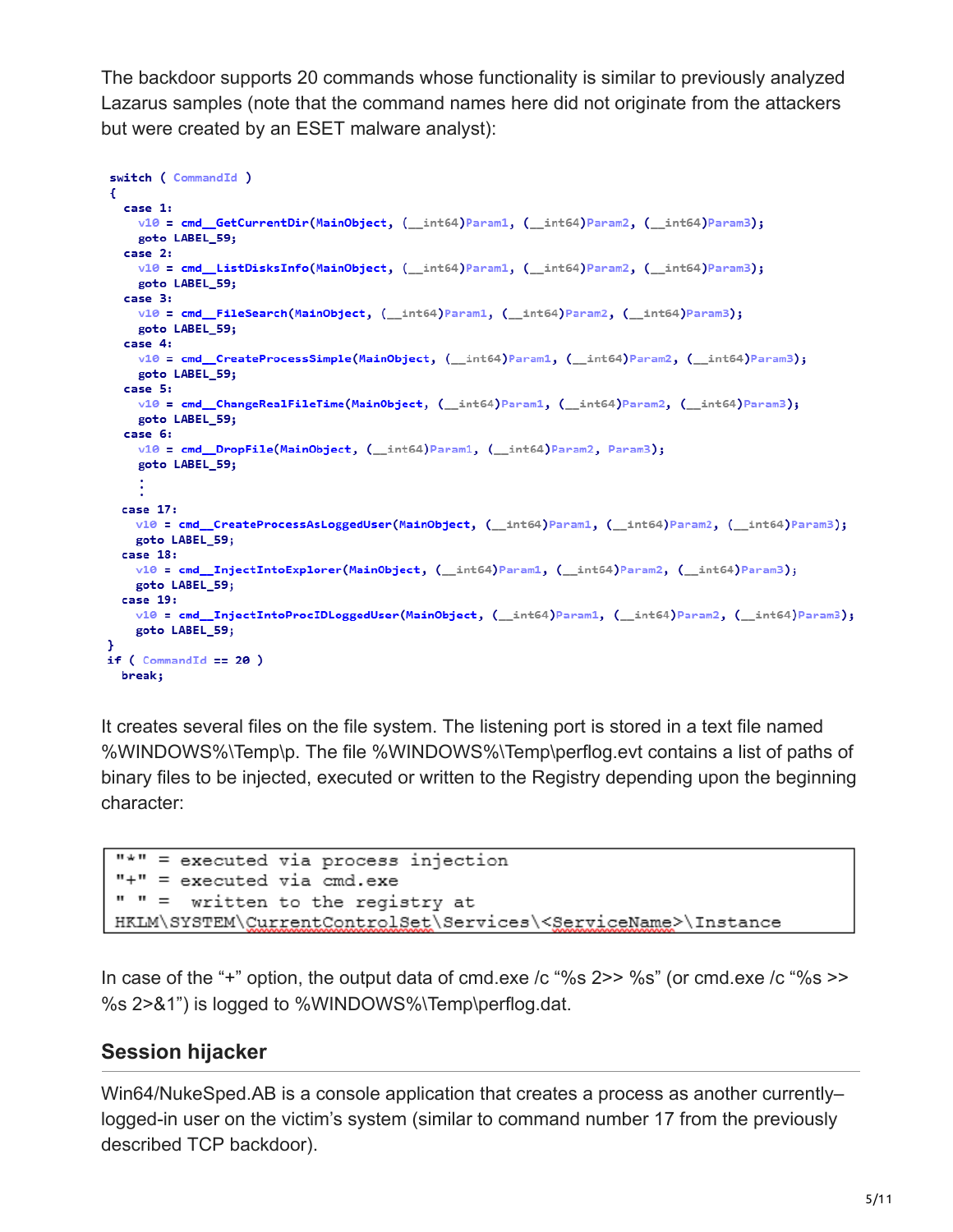The backdoor supports 20 commands whose functionality is similar to previously analyzed Lazarus samples (note that the command names here did not originate from the attackers but were created by an ESET malware analyst):

```
switch ( CommandId )
Ŧ
  case 1:
   v10 = cmd_GetCurrentDir(MainObject, (_int64)Param1, (_int64)Param2, (_int64)Param3);
    goto LABEL 59:
  case 2:
   v10 = cmd_ListDisksInfo(MainObject, (_int64)Param1, (_int64)Param2, (_int64)Param3);
   goto LABEL_59;
  case 3:
   v10 = cmd_FileSearch(MainObject, (_int64)Param1, (_int64)Param2, (_int64)Param3);
    goto LABEL 59;
  case 4:v10 = cmd_CreateProcessSimple(MainObject, (_int64)Param1, (_int64)Param2, (_int64)Param3);
   goto LABEL 59:
  case 5:
   v10 = cmd_ChangeRealFileTime(MainObject, (_int64)Param1, (_int64)Param2, (_int64)Param3);
    goto LABEL_59;
  case 6:v10 = cmd_DropFile(MainObject, (_int64)Param1, (_int64)Param2, Param3);
    goto LABEL_59;
 case 17:
   v10 = cmd_CreateProcessAsLoggedUser(MainObject, (_int64)Param1, (_int64)Param2, (_int64)Param3);
   goto LABEL_59;
 case 18:
   v10 = cmd_InjectIntoExplorer(MainObject, (_int64)Param1, (_int64)Param2, (_int64)Param3);
   goto LABEL 59:
 case 19:
   v10 = cmd_InjectIntoProcIDLoggedUser(MainObject, (_int64)Param1, (_int64)Param2, (_int64)Param3);
   goto LABEL 59;
if (CommandId == 20)break;
```
It creates several files on the file system. The listening port is stored in a text file named %WINDOWS%\Temp\p. The file %WINDOWS%\Temp\perflog.evt contains a list of paths of binary files to be injected, executed or written to the Registry depending upon the beginning character:

```
"*" = executed via process injection
"+" = executed via cmd.exe
" " = written to the registry at
HKLM\SYSTEM\CurrentControlSet\Services\<ServiceName>\Instance
```
In case of the "+" option, the output data of cmd.exe /c "%s 2>> %s" (or cmd.exe /c "%s >> %s 2>&1") is logged to %WINDOWS%\Temp\perflog.dat.

### **Session hijacker**

Win64/NukeSped.AB is a console application that creates a process as another currently– logged-in user on the victim's system (similar to command number 17 from the previously described TCP backdoor).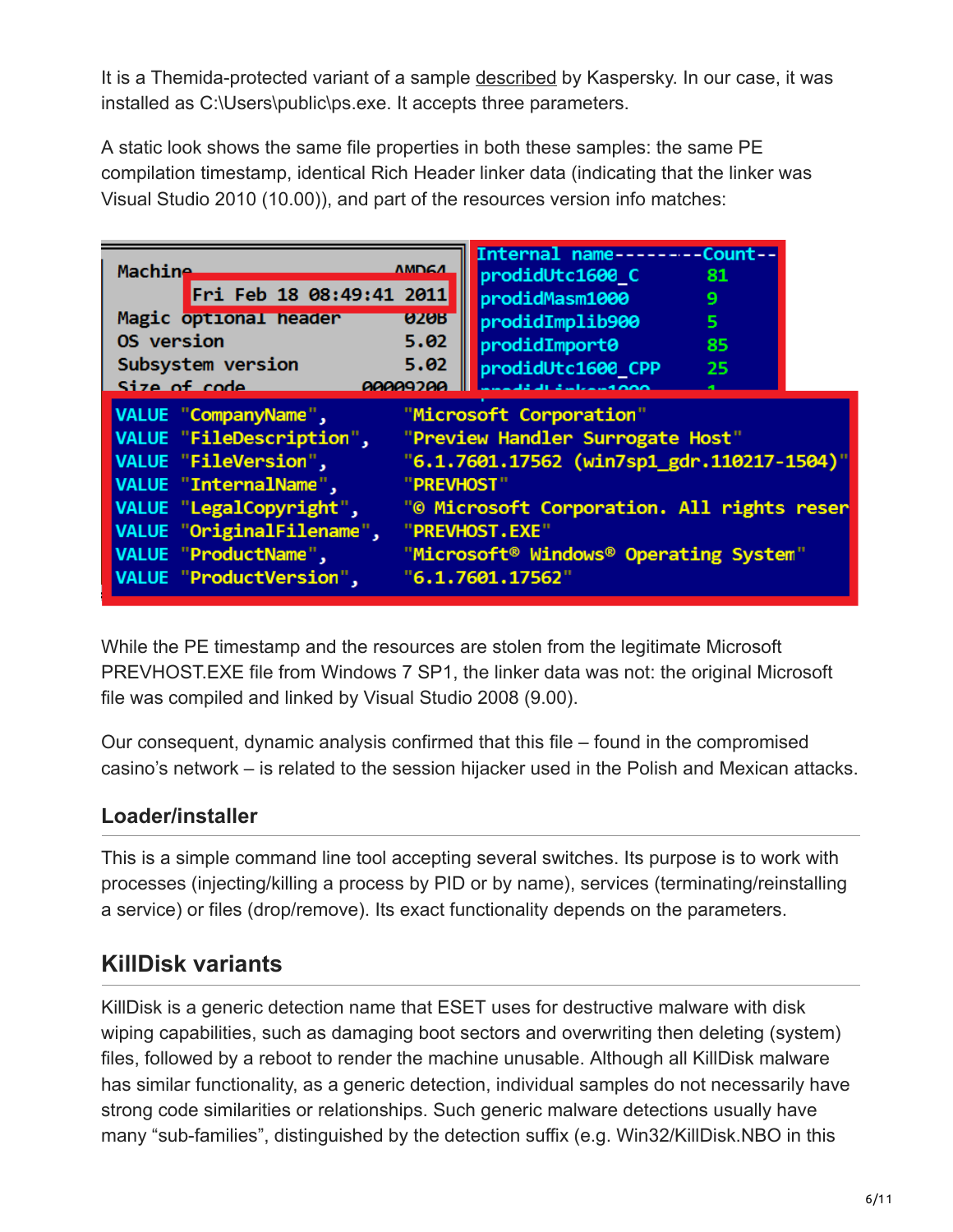It is a Themida-protected variant of a sample [described](https://securelist.com/files/2017/04/Lazarus_Under_The_Hood_PDF_final.pdf) by Kaspersky. In our case, it was installed as C:\Users\public\ps.exe. It accepts three parameters.

A static look shows the same file properties in both these samples: the same PE compilation timestamp, identical Rich Header linker data (indicating that the linker was Visual Studio 2010 (10.00)), and part of the resources version info matches:

| <b>Machine</b><br>Fri Feb 18 08:49:41 2011                                                                                                                                                                                 | <b>AMDGA</b> | Internal name--------Count--<br>prodidUtc1600 C<br>prodidMasm1000                                                                                                                                                                       | 81<br>9 |
|----------------------------------------------------------------------------------------------------------------------------------------------------------------------------------------------------------------------------|--------------|-----------------------------------------------------------------------------------------------------------------------------------------------------------------------------------------------------------------------------------------|---------|
| Magic optional header                                                                                                                                                                                                      | <b>020B</b>  | prodidImplib900                                                                                                                                                                                                                         | 5       |
| OS version                                                                                                                                                                                                                 | 5.02         | prodidImport0                                                                                                                                                                                                                           | 85      |
| Subsystem version                                                                                                                                                                                                          | 5.02         | prodidUtc1600 CPP                                                                                                                                                                                                                       | -25     |
| Size of code                                                                                                                                                                                                               | 00000200     |                                                                                                                                                                                                                                         |         |
| VALUE "CompanyName",<br><b>VALUE</b> "FileDescription",<br>VALUE "FileVersion",<br>VALUE "InternalName",<br>VALUE "LegalCopyright",<br>VALUE "OriginalFilename",<br>VALUE "ProductName",<br><b>VALUE "ProductVersion",</b> | "PREVHOST"   | "Microsoft Corporation"<br>"Preview Handler Surrogate Host"<br>"6.1.7601.17562 (win7sp1_gdr.110217-1504)"<br>"© Microsoft Corporation. All rights reser<br>"PREVHOST.EXE"<br>"Microsoft® Windows® Operating System"<br>"6.1.7601.17562" |         |

While the PE timestamp and the resources are stolen from the legitimate Microsoft PREVHOST.EXE file from Windows 7 SP1, the linker data was not: the original Microsoft file was compiled and linked by Visual Studio 2008 (9.00).

Our consequent, dynamic analysis confirmed that this file – found in the compromised casino's network – is related to the session hijacker used in the Polish and Mexican attacks.

### **Loader/installer**

This is a simple command line tool accepting several switches. Its purpose is to work with processes (injecting/killing a process by PID or by name), services (terminating/reinstalling a service) or files (drop/remove). Its exact functionality depends on the parameters.

## **KillDisk variants**

KillDisk is a generic detection name that ESET uses for destructive malware with disk wiping capabilities, such as damaging boot sectors and overwriting then deleting (system) files, followed by a reboot to render the machine unusable. Although all KillDisk malware has similar functionality, as a generic detection, individual samples do not necessarily have strong code similarities or relationships. Such generic malware detections usually have many "sub-families", distinguished by the detection suffix (e.g. Win32/KillDisk.NBO in this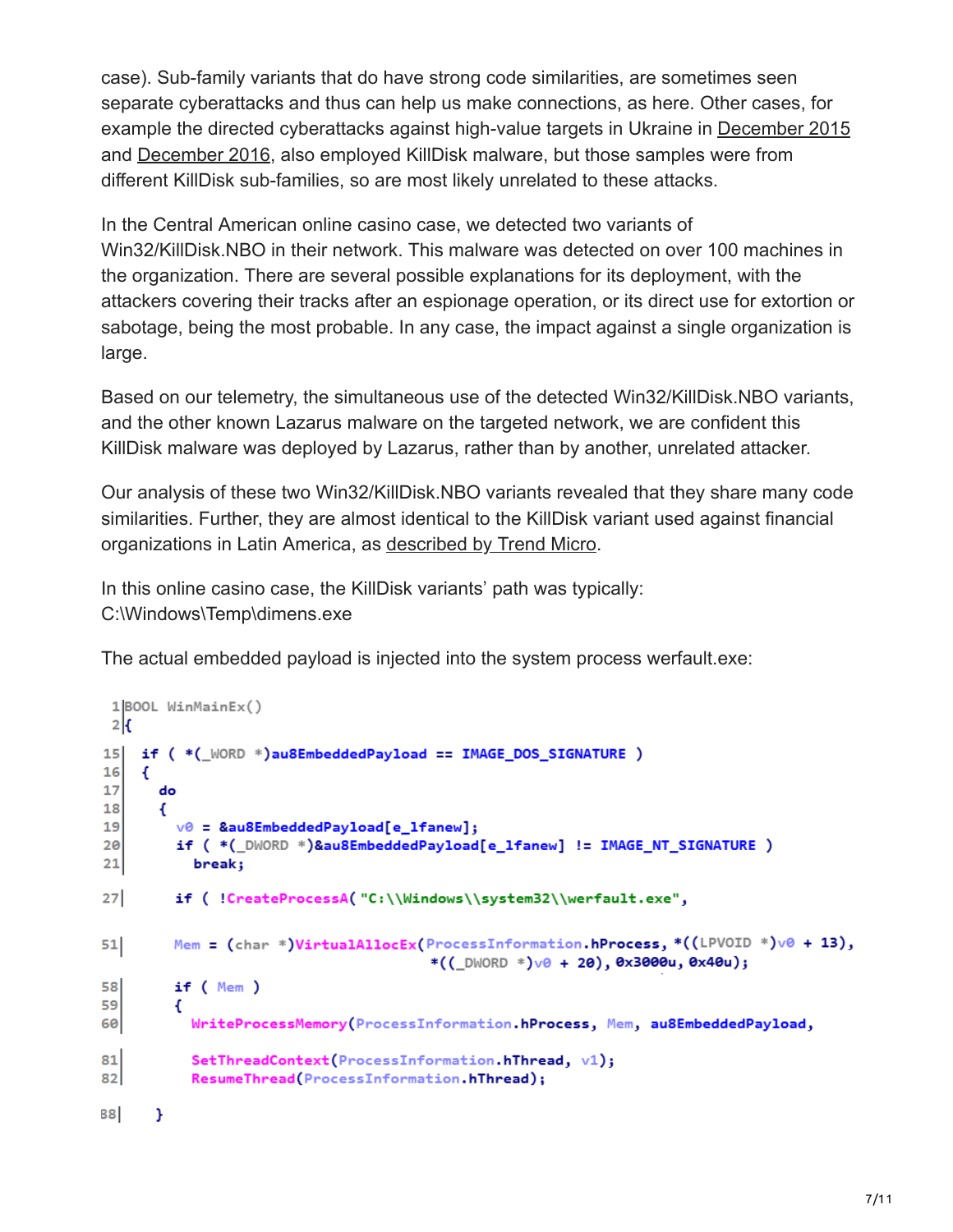case). Sub-family variants that do have strong code similarities, are sometimes seen separate cyberattacks and thus can help us make connections, as here. Other cases, for example the directed cyberattacks against high-value targets in Ukraine in [December 2015](https://www.welivesecurity.com/2016/01/03/blackenergy-sshbeardoor-details-2015-attacks-ukrainian-news-media-electric-industry/) and [December 2016,](https://www.welivesecurity.com/2016/12/13/rise-telebots-analyzing-disruptive-killdisk-attacks/) also employed KillDisk malware, but those samples were from different KillDisk sub-families, so are most likely unrelated to these attacks.

In the Central American online casino case, we detected two variants of Win32/KillDisk.NBO in their network. This malware was detected on over 100 machines in the organization. There are several possible explanations for its deployment, with the attackers covering their tracks after an espionage operation, or its direct use for extortion or sabotage, being the most probable. In any case, the impact against a single organization is large.

Based on our telemetry, the simultaneous use of the detected Win32/KillDisk.NBO variants, and the other known Lazarus malware on the targeted network, we are confident this KillDisk malware was deployed by Lazarus, rather than by another, unrelated attacker.

Our analysis of these two Win32/KillDisk.NBO variants revealed that they share many code similarities. Further, they are almost identical to the KillDisk variant used against financial organizations in Latin America, as [described by Trend Micro](https://blog.trendmicro.com/trendlabs-security-intelligence/new-killdisk-variant-hits-financial-organizations-in-latin-america/).

In this online casino case, the KillDisk variants' path was typically: C:\Windows\Temp\dimens.exe

The actual embedded payload is injected into the system process werfault.exe:

```
1|BOOL WinMainEx()2<sub>k</sub>if ( *(_WORD *)au8EmbeddedPayload == IMAGE_DOS_SIGNATURE )
1516
     €
17
       do
18€
19
         v0 = &au8EmbeddedPayload[e_lfanew];
20
         if ( *(_DWORD *)&au8EmbeddedPayload[e_lfanew] != IMAGE_NT_SIGNATURE )
21break;
27if ( !CreateProcessA( "C:\\Windows\\system32\\werfault.exe",
         Mem = (char *)VirtualAllocEx(ProcessInformation.hProcess, *((LPVOID *)v0 + 13),
51
                                        *((\text{LWWORD}*)\vee 0 + 20), 0 \times 3000u, 0 \times 40u);58
         if (Mem)59
         €
           WriteProcessMemory(ProcessInformation.hProcess, Mem, au8EmbeddedPayload,
60
81
           SetThreadContext(ProcessInformation.hThread, v1);
82ResumeThread(ProcessInformation.hThread);
88
      Y
```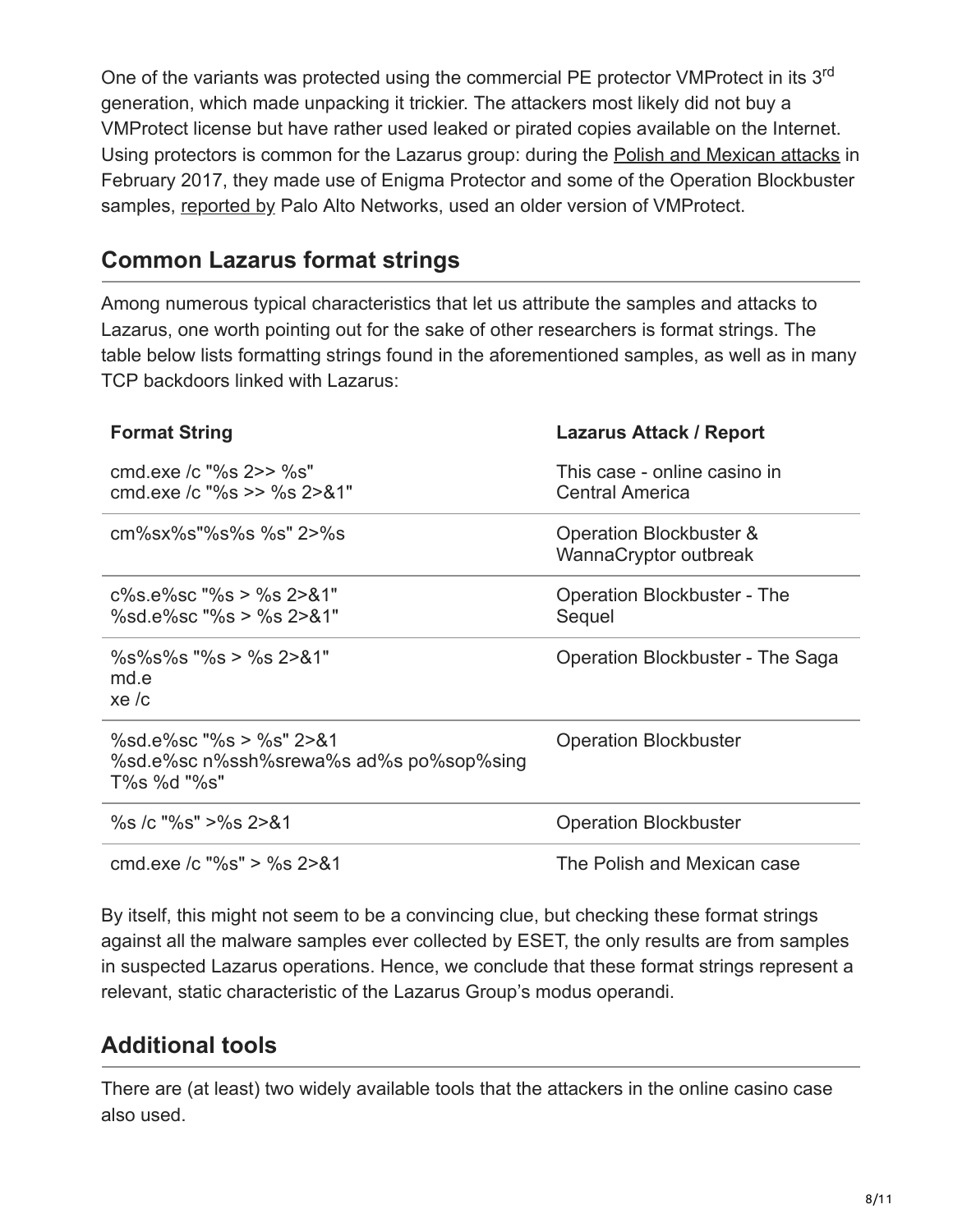One of the variants was protected using the commercial PE protector VMProtect in its 3<sup>rd</sup> generation, which made unpacking it trickier. The attackers most likely did not buy a VMProtect license but have rather used leaked or pirated copies available on the Internet. Using protectors is common for the Lazarus group: during the [Polish and Mexican attacks](https://www.welivesecurity.com/2017/02/16/demystifying-targeted-malware-used-polish-banks/) in February 2017, they made use of Enigma Protector and some of the Operation Blockbuster samples, [reported by](https://researchcenter.paloaltonetworks.com/2017/08/unit42-blockbuster-saga-continues/) Palo Alto Networks, used an older version of VMProtect.

## **Common Lazarus format strings**

Among numerous typical characteristics that let us attribute the samples and attacks to Lazarus, one worth pointing out for the sake of other researchers is format strings. The table below lists formatting strings found in the aforementioned samples, as well as in many TCP backdoors linked with Lazarus:

| <b>Format String</b>                                                              | Lazarus Attack / Report                          |
|-----------------------------------------------------------------------------------|--------------------------------------------------|
| cmd exe /c "%s 2>> %s"<br>cmd.exe /c "%s >> %s 2>&1"                              | This case - online casino in<br>Central America  |
| cm%sx%s"%s%s %s" 2>%s                                                             | Operation Blockbuster &<br>WannaCryptor outbreak |
| $c\%s.e\%sc$ "%s > %s 2>&1"<br>%sd.e%sc "%s > %s 2>&1"                            | Operation Blockbuster - The<br>Sequel            |
| $\%s\%s\%s$ "%s > %s 2>&1"<br>md.e<br>xe/c                                        | Operation Blockbuster - The Saga                 |
| %sd.e%sc "%s > %s" 2>&1<br>%sd.e%sc n%ssh%srewa%s ad%s po%sop%sing<br>T%s %d "%s" | <b>Operation Blockbuster</b>                     |
| $\%$ s /c "%s" >%s 2>&1                                                           | <b>Operation Blockbuster</b>                     |
| cmd exe /c "%s" > %s 2>&1                                                         | The Polish and Mexican case                      |

By itself, this might not seem to be a convincing clue, but checking these format strings against all the malware samples ever collected by ESET, the only results are from samples in suspected Lazarus operations. Hence, we conclude that these format strings represent a relevant, static characteristic of the Lazarus Group's modus operandi.

## **Additional tools**

There are (at least) two widely available tools that the attackers in the online casino case also used.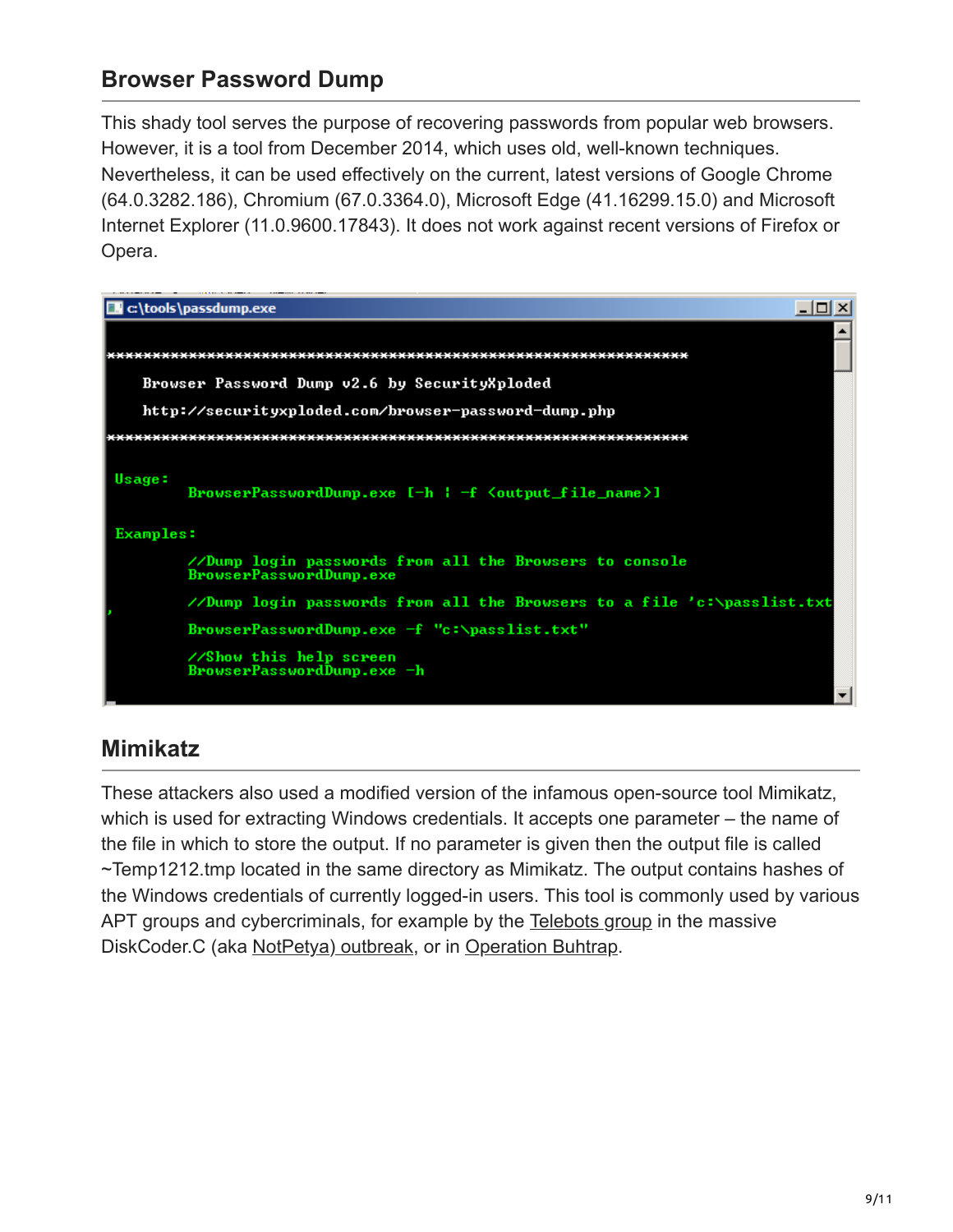## **Browser Password Dump**

This shady tool serves the purpose of recovering passwords from popular web browsers. However, it is a tool from December 2014, which uses old, well-known techniques. Nevertheless, it can be used effectively on the current, latest versions of Google Chrome (64.0.3282.186), Chromium (67.0.3364.0), Microsoft Edge (41.16299.15.0) and Microsoft Internet Explorer (11.0.9600.17843). It does not work against recent versions of Firefox or Opera.



## **Mimikatz**

These attackers also used a modified version of the infamous open-source tool Mimikatz, which is used for extracting Windows credentials. It accepts one parameter – the name of the file in which to store the output. If no parameter is given then the output file is called ~Temp1212.tmp located in the same directory as Mimikatz. The output contains hashes of the Windows credentials of currently logged-in users. This tool is commonly used by various APT groups and cybercriminals, for example by the [Telebots group](https://www.welivesecurity.com/2017/06/30/telebots-back-supply-chain-attacks-against-ukraine/) in the massive DiskCoder.C (aka [NotPetya\) outbreak,](https://www.welivesecurity.com/2017/06/27/new-ransomware-attack-hits-ukraine/) or in [Operation Buhtrap.](https://www.welivesecurity.com/2015/04/09/operation-buhtrap/)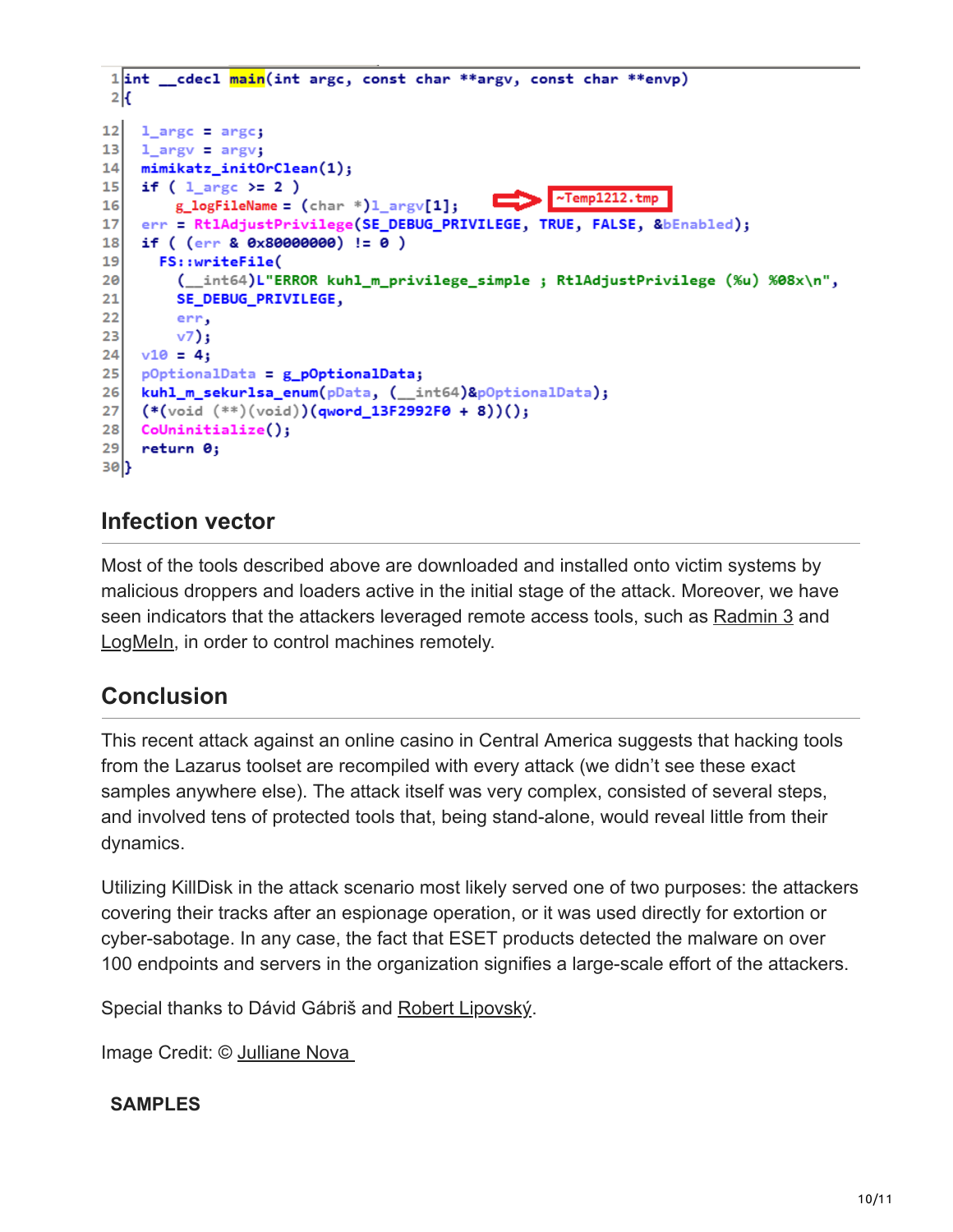```
1int
       2<sub>k</sub>121 argc = argc;
13
    1 argv = argv;
14mimikatz_initOrClean(1);
    if ( 1 argc >= 2 )
15~\simTemp1212.tmp
        g_{\text{log}}FileName = (\text{char} * )1_{\text{array}}[1];16err = RtlAdjustPrivilege(SE_DEBUG_PRIVILEGE, TRUE, FALSE, &bEnabled);
17
18
    if ((err & 0x80000000) != 0)19<sup>1</sup>FS::writeFile(
        ( _int64)L"ERROR kuhl_m_privilege_simple ; Rt1AdjustPrivilege (%u) %08x\n",
2021
        SE_DEBUG_PRIVILEGE,
22
        err,
23
        v7);
24v10 = 4;25pOptionalData = g_pOptionalData;
    kuhl_m_sekurlsa_enum(pData, (__int64)&pOptionalData);
2627
    (*(void (**) (void))(qword_13F2992F0 + 8))();
28Colninitialize();
29return 0;
30)
```
## **Infection vector**

Most of the tools described above are downloaded and installed onto victim systems by malicious droppers and loaders active in the initial stage of the attack. Moreover, we have seen indicators that the attackers leveraged remote access tools, such as [Radmin 3](https://www.radmin.com/) and [LogMeIn,](https://www.logmein.com/) in order to control machines remotely.

### **Conclusion**

This recent attack against an online casino in Central America suggests that hacking tools from the Lazarus toolset are recompiled with every attack (we didn't see these exact samples anywhere else). The attack itself was very complex, consisted of several steps, and involved tens of protected tools that, being stand-alone, would reveal little from their dynamics.

Utilizing KillDisk in the attack scenario most likely served one of two purposes: the attackers covering their tracks after an espionage operation, or it was used directly for extortion or cyber-sabotage. In any case, the fact that ESET products detected the malware on over 100 endpoints and servers in the organization signifies a large-scale effort of the attackers.

Special thanks to Dávid Gábriš and [Robert Lipovský.](https://www.welivesecurity.com/author/lipovsky/)

Image Credit: © [Julliane Nova](https://julliane.deviantart.com/) 

#### **SAMPLES**